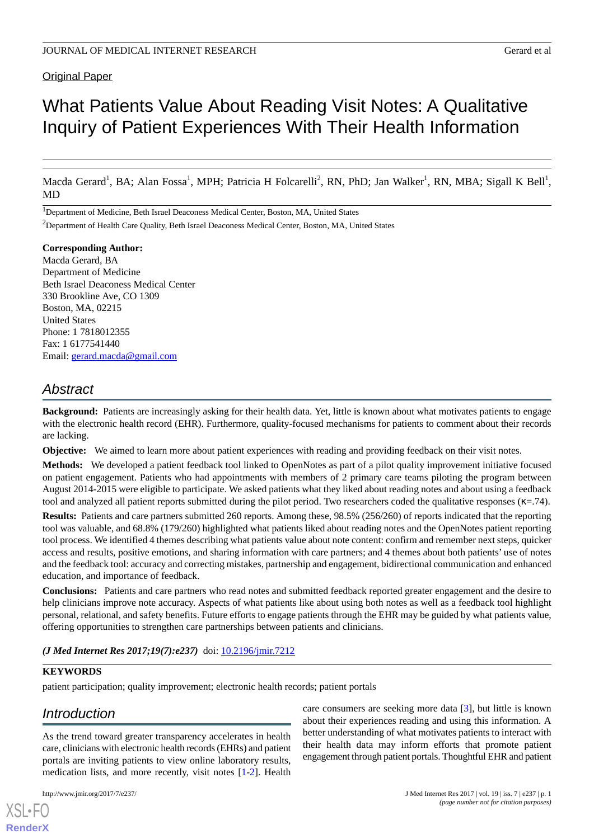# Original Paper

# What Patients Value About Reading Visit Notes: A Qualitative Inquiry of Patient Experiences With Their Health Information

Macda Gerard<sup>1</sup>, BA; Alan Fossa<sup>1</sup>, MPH; Patricia H Folcarelli<sup>2</sup>, RN, PhD; Jan Walker<sup>1</sup>, RN, MBA; Sigall K Bell<sup>1</sup>, MD

<sup>1</sup>Department of Medicine, Beth Israel Deaconess Medical Center, Boston, MA, United States

<sup>2</sup>Department of Health Care Quality, Beth Israel Deaconess Medical Center, Boston, MA, United States

#### **Corresponding Author:**

Macda Gerard, BA Department of Medicine Beth Israel Deaconess Medical Center 330 Brookline Ave, CO 1309 Boston, MA, 02215 United States Phone: 1 7818012355 Fax: 1 6177541440 Email: [gerard.macda@gmail.com](mailto:gerard.macda@gmail.com)

# *Abstract*

**Background:** Patients are increasingly asking for their health data. Yet, little is known about what motivates patients to engage with the electronic health record (EHR). Furthermore, quality-focused mechanisms for patients to comment about their records are lacking.

**Objective:** We aimed to learn more about patient experiences with reading and providing feedback on their visit notes.

**Methods:** We developed a patient feedback tool linked to OpenNotes as part of a pilot quality improvement initiative focused on patient engagement. Patients who had appointments with members of 2 primary care teams piloting the program between August 2014-2015 were eligible to participate. We asked patients what they liked about reading notes and about using a feedback tool and analyzed all patient reports submitted during the pilot period. Two researchers coded the qualitative responses ( $\kappa$ =.74).

**Results:** Patients and care partners submitted 260 reports. Among these, 98.5% (256/260) of reports indicated that the reporting tool was valuable, and 68.8% (179/260) highlighted what patients liked about reading notes and the OpenNotes patient reporting tool process. We identified 4 themes describing what patients value about note content: confirm and remember next steps, quicker access and results, positive emotions, and sharing information with care partners; and 4 themes about both patients' use of notes and the feedback tool: accuracy and correcting mistakes, partnership and engagement, bidirectional communication and enhanced education, and importance of feedback.

**Conclusions:** Patients and care partners who read notes and submitted feedback reported greater engagement and the desire to help clinicians improve note accuracy. Aspects of what patients like about using both notes as well as a feedback tool highlight personal, relational, and safety benefits. Future efforts to engage patients through the EHR may be guided by what patients value, offering opportunities to strengthen care partnerships between patients and clinicians.

*(J Med Internet Res 2017;19(7):e237)* doi: [10.2196/jmir.7212](http://dx.doi.org/10.2196/jmir.7212)

# **KEYWORDS**

patient participation; quality improvement; electronic health records; patient portals

# *Introduction*

As the trend toward greater transparency accelerates in health care, clinicians with electronic health records (EHRs) and patient portals are inviting patients to view online laboratory results, medication lists, and more recently, visit notes [\[1](#page-6-0)[-2\]](#page-6-1). Health

[XSL](http://www.w3.org/Style/XSL)•FO **[RenderX](http://www.renderx.com/)**

care consumers are seeking more data [[3\]](#page-6-2), but little is known about their experiences reading and using this information. A better understanding of what motivates patients to interact with their health data may inform efforts that promote patient engagement through patient portals. Thoughtful EHR and patient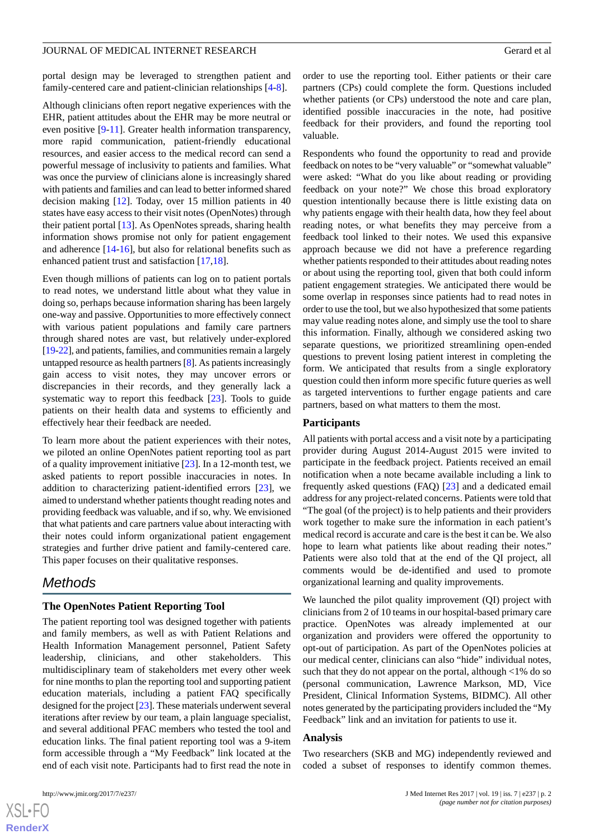#### JOURNAL OF MEDICAL INTERNET RESEARCH GERARD CHARGES AND GERARD GERARD GERARD GERARD GERARD GERARD GERARD GERARD GERARD GERARD GERARD GERARD GERARD GERARD GERARD GERARD GERARD GERARD GERARD GERARD GERARD GERARD GERARD GERAR

portal design may be leveraged to strengthen patient and family-centered care and patient-clinician relationships [[4-](#page-6-3)[8](#page-6-4)].

Although clinicians often report negative experiences with the EHR, patient attitudes about the EHR may be more neutral or even positive [\[9](#page-6-5)-[11\]](#page-6-6). Greater health information transparency, more rapid communication, patient-friendly educational resources, and easier access to the medical record can send a powerful message of inclusivity to patients and families. What was once the purview of clinicians alone is increasingly shared with patients and families and can lead to better informed shared decision making [[12\]](#page-6-7). Today, over 15 million patients in 40 states have easy access to their visit notes (OpenNotes) through their patient portal [[13\]](#page-6-8). As OpenNotes spreads, sharing health information shows promise not only for patient engagement and adherence [\[14](#page-6-9)-[16\]](#page-7-0), but also for relational benefits such as enhanced patient trust and satisfaction [\[17](#page-7-1),[18\]](#page-7-2).

Even though millions of patients can log on to patient portals to read notes, we understand little about what they value in doing so, perhaps because information sharing has been largely one-way and passive. Opportunities to more effectively connect with various patient populations and family care partners through shared notes are vast, but relatively under-explored [[19-](#page-7-3)[22](#page-7-4)], and patients, families, and communities remain a largely untapped resource as health partners [\[8\]](#page-6-4). As patients increasingly gain access to visit notes, they may uncover errors or discrepancies in their records, and they generally lack a systematic way to report this feedback [[23\]](#page-7-5). Tools to guide patients on their health data and systems to efficiently and effectively hear their feedback are needed.

To learn more about the patient experiences with their notes, we piloted an online OpenNotes patient reporting tool as part of a quality improvement initiative [\[23](#page-7-5)]. In a 12-month test, we asked patients to report possible inaccuracies in notes. In addition to characterizing patient-identified errors [\[23](#page-7-5)], we aimed to understand whether patients thought reading notes and providing feedback was valuable, and if so, why. We envisioned that what patients and care partners value about interacting with their notes could inform organizational patient engagement strategies and further drive patient and family-centered care. This paper focuses on their qualitative responses.

# *Methods*

#### **The OpenNotes Patient Reporting Tool**

The patient reporting tool was designed together with patients and family members, as well as with Patient Relations and Health Information Management personnel, Patient Safety leadership, clinicians, and other stakeholders. This multidisciplinary team of stakeholders met every other week for nine months to plan the reporting tool and supporting patient education materials, including a patient FAQ specifically designed for the project [[23](#page-7-5)]. These materials underwent several iterations after review by our team, a plain language specialist, and several additional PFAC members who tested the tool and education links. The final patient reporting tool was a 9-item form accessible through a "My Feedback" link located at the end of each visit note. Participants had to first read the note in

order to use the reporting tool. Either patients or their care partners (CPs) could complete the form. Questions included whether patients (or CPs) understood the note and care plan, identified possible inaccuracies in the note, had positive feedback for their providers, and found the reporting tool valuable.

Respondents who found the opportunity to read and provide feedback on notes to be "very valuable" or "somewhat valuable" were asked: "What do you like about reading or providing feedback on your note?" We chose this broad exploratory question intentionally because there is little existing data on why patients engage with their health data, how they feel about reading notes, or what benefits they may perceive from a feedback tool linked to their notes. We used this expansive approach because we did not have a preference regarding whether patients responded to their attitudes about reading notes or about using the reporting tool, given that both could inform patient engagement strategies. We anticipated there would be some overlap in responses since patients had to read notes in order to use the tool, but we also hypothesized that some patients may value reading notes alone, and simply use the tool to share this information. Finally, although we considered asking two separate questions, we prioritized streamlining open-ended questions to prevent losing patient interest in completing the form. We anticipated that results from a single exploratory question could then inform more specific future queries as well as targeted interventions to further engage patients and care partners, based on what matters to them the most.

#### **Participants**

All patients with portal access and a visit note by a participating provider during August 2014-August 2015 were invited to participate in the feedback project. Patients received an email notification when a note became available including a link to frequently asked questions (FAQ) [[23\]](#page-7-5) and a dedicated email address for any project-related concerns. Patients were told that "The goal (of the project) is to help patients and their providers work together to make sure the information in each patient's medical record is accurate and care is the best it can be. We also hope to learn what patients like about reading their notes." Patients were also told that at the end of the QI project, all comments would be de-identified and used to promote organizational learning and quality improvements.

We launched the pilot quality improvement (QI) project with clinicians from 2 of 10 teams in our hospital-based primary care practice. OpenNotes was already implemented at our organization and providers were offered the opportunity to opt-out of participation. As part of the OpenNotes policies at our medical center, clinicians can also "hide" individual notes, such that they do not appear on the portal, although <1% do so (personal communication, Lawrence Markson, MD, Vice President, Clinical Information Systems, BIDMC). All other notes generated by the participating providers included the "My Feedback" link and an invitation for patients to use it.

# **Analysis**

Two researchers (SKB and MG) independently reviewed and coded a subset of responses to identify common themes.



 $XS$  $\cdot$ FC **[RenderX](http://www.renderx.com/)**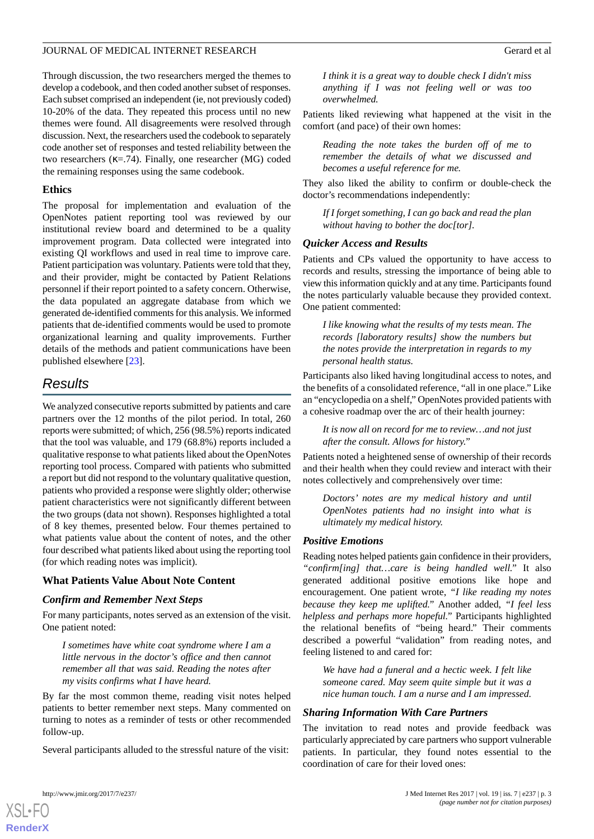# JOURNAL OF MEDICAL INTERNET RESEARCH GERARD CHARGES AND GERARD GERARD GERARD GERARD GERARD GERARD GERARD GERARD GERARD GERARD GERARD GERARD GERARD GERARD GERARD GERARD GERARD GERARD GERARD GERARD GERARD GERARD GERARD GERAR

Through discussion, the two researchers merged the themes to develop a codebook, and then coded another subset of responses. Each subset comprised an independent (ie, not previously coded) 10-20% of the data. They repeated this process until no new themes were found. All disagreements were resolved through discussion. Next, the researchers used the codebook to separately code another set of responses and tested reliability between the two researchers ( $\kappa$ =.74). Finally, one researcher (MG) coded the remaining responses using the same codebook.

### **Ethics**

The proposal for implementation and evaluation of the OpenNotes patient reporting tool was reviewed by our institutional review board and determined to be a quality improvement program. Data collected were integrated into existing QI workflows and used in real time to improve care. Patient participation was voluntary. Patients were told that they, and their provider, might be contacted by Patient Relations personnel if their report pointed to a safety concern. Otherwise, the data populated an aggregate database from which we generated de-identified comments for this analysis. We informed patients that de-identified comments would be used to promote organizational learning and quality improvements. Further details of the methods and patient communications have been published elsewhere [[23\]](#page-7-5).

# *Results*

We analyzed consecutive reports submitted by patients and care partners over the 12 months of the pilot period. In total, 260 reports were submitted; of which, 256 (98.5%) reports indicated that the tool was valuable, and 179 (68.8%) reports included a qualitative response to what patients liked about the OpenNotes reporting tool process. Compared with patients who submitted a report but did not respond to the voluntary qualitative question, patients who provided a response were slightly older; otherwise patient characteristics were not significantly different between the two groups (data not shown). Responses highlighted a total of 8 key themes, presented below. Four themes pertained to what patients value about the content of notes, and the other four described what patients liked about using the reporting tool (for which reading notes was implicit).

# **What Patients Value About Note Content**

# *Confirm and Remember Next Steps*

For many participants, notes served as an extension of the visit. One patient noted:

*I sometimes have white coat syndrome where I am a little nervous in the doctor's office and then cannot remember all that was said. Reading the notes after my visits confirms what I have heard.*

By far the most common theme, reading visit notes helped patients to better remember next steps. Many commented on turning to notes as a reminder of tests or other recommended follow-up.

Several participants alluded to the stressful nature of the visit:

*I think it is a great way to double check I didn't miss anything if I was not feeling well or was too overwhelmed.*

Patients liked reviewing what happened at the visit in the comfort (and pace) of their own homes:

*Reading the note takes the burden off of me to remember the details of what we discussed and becomes a useful reference for me.*

They also liked the ability to confirm or double-check the doctor's recommendations independently:

*If I forget something, I can go back and read the plan without having to bother the doc[tor].*

# *Quicker Access and Results*

Patients and CPs valued the opportunity to have access to records and results, stressing the importance of being able to view this information quickly and at any time. Participants found the notes particularly valuable because they provided context. One patient commented:

*I like knowing what the results of my tests mean. The records [laboratory results] show the numbers but the notes provide the interpretation in regards to my personal health status.*

Participants also liked having longitudinal access to notes, and the benefits of a consolidated reference, "all in one place." Like an "encyclopedia on a shelf," OpenNotes provided patients with a cohesive roadmap over the arc of their health journey:

*It is now all on record for me to review…and not just after the consult. Allows for history."*

Patients noted a heightened sense of ownership of their records and their health when they could review and interact with their notes collectively and comprehensively over time:

*Doctors' notes are my medical history and until OpenNotes patients had no insight into what is ultimately my medical history.*

# *Positive Emotions*

Reading notes helped patients gain confidence in their providers, *"confirm[ing] that…care is being handled well."* It also generated additional positive emotions like hope and encouragement. One patient wrote, *"I like reading my notes because they keep me uplifted."* Another added, *"I feel less helpless and perhaps more hopeful."* Participants highlighted the relational benefits of "being heard." Their comments described a powerful "validation" from reading notes, and feeling listened to and cared for:

*We have had a funeral and a hectic week. I felt like someone cared. May seem quite simple but it was a nice human touch. I am a nurse and I am impressed.*

#### *Sharing Information With Care Partners*

The invitation to read notes and provide feedback was particularly appreciated by care partners who support vulnerable patients. In particular, they found notes essential to the coordination of care for their loved ones:

[XSL](http://www.w3.org/Style/XSL)•FO **[RenderX](http://www.renderx.com/)**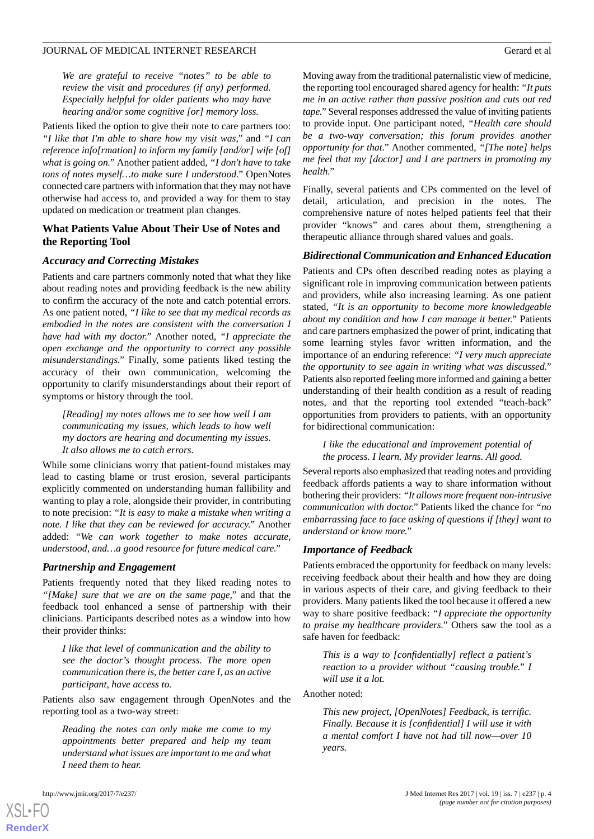## JOURNAL OF MEDICAL INTERNET RESEARCH Gerard et al

*We are grateful to receive "notes" to be able to review the visit and procedures (if any) performed. Especially helpful for older patients who may have hearing and/or some cognitive [or] memory loss.*

Patients liked the option to give their note to care partners too: *"I like that I'm able to share how my visit was,"* and *"I can reference info[rmation] to inform my family [and/or] wife [of] what is going on."* Another patient added, *"I don't have to take tons of notes myself…to make sure I understood."* OpenNotes connected care partners with information that they may not have otherwise had access to, and provided a way for them to stay updated on medication or treatment plan changes.

### **What Patients Value About Their Use of Notes and the Reporting Tool**

# *Accuracy and Correcting Mistakes*

Patients and care partners commonly noted that what they like about reading notes and providing feedback is the new ability to confirm the accuracy of the note and catch potential errors. As one patient noted, *"I like to see that my medical records as embodied in the notes are consistent with the conversation I have had with my doctor."* Another noted, *"I appreciate the open exchange and the opportunity to correct any possible misunderstandings."* Finally, some patients liked testing the accuracy of their own communication, welcoming the opportunity to clarify misunderstandings about their report of symptoms or history through the tool.

*[Reading] my notes allows me to see how well I am communicating my issues, which leads to how well my doctors are hearing and documenting my issues. It also allows me to catch errors.*

While some clinicians worry that patient-found mistakes may lead to casting blame or trust erosion, several participants explicitly commented on understanding human fallibility and wanting to play a role, alongside their provider, in contributing to note precision: *"It is easy to make a mistake when writing a note. I like that they can be reviewed for accuracy."* Another added: *"We can work together to make notes accurate, understood, and…a good resource for future medical care."*

#### *Partnership and Engagement*

Patients frequently noted that they liked reading notes to *"[Make] sure that we are on the same page,"* and that the feedback tool enhanced a sense of partnership with their clinicians. Participants described notes as a window into how their provider thinks:

*I like that level of communication and the ability to see the doctor's thought process. The more open communication there is, the better care I, as an active participant, have access to.*

Patients also saw engagement through OpenNotes and the reporting tool as a two-way street:

*Reading the notes can only make me come to my appointments better prepared and help my team understand what issues are important to me and what I need them to hear.*

[XSL](http://www.w3.org/Style/XSL)•FO **[RenderX](http://www.renderx.com/)**

Moving away from the traditional paternalistic view of medicine, the reporting tool encouraged shared agency for health: *"It puts me in an active rather than passive position and cuts out red tape."*Several responses addressed the value of inviting patients to provide input. One participant noted, *"Health care should be a two-way conversation; this forum provides another opportunity for that."* Another commented, *"[The note] helps me feel that my [doctor] and I are partners in promoting my health."*

Finally, several patients and CPs commented on the level of detail, articulation, and precision in the notes. The comprehensive nature of notes helped patients feel that their provider "knows" and cares about them, strengthening a therapeutic alliance through shared values and goals.

# *Bidirectional Communication and Enhanced Education*

Patients and CPs often described reading notes as playing a significant role in improving communication between patients and providers, while also increasing learning. As one patient stated, *"It is an opportunity to become more knowledgeable about my condition and how I can manage it better."* Patients and care partners emphasized the power of print, indicating that some learning styles favor written information, and the importance of an enduring reference: *"I very much appreciate the opportunity to see again in writing what was discussed."* Patients also reported feeling more informed and gaining a better understanding of their health condition as a result of reading notes, and that the reporting tool extended "teach-back" opportunities from providers to patients, with an opportunity for bidirectional communication:

*I like the educational and improvement potential of the process. I learn. My provider learns. All good.*

Several reports also emphasized that reading notes and providing feedback affords patients a way to share information without bothering their providers: *"It allows more frequent non-intrusive communication with doctor."* Patients liked the chance for *"no embarrassing face to face asking of questions if [they] want to understand or know more."*

#### *Importance of Feedback*

Patients embraced the opportunity for feedback on many levels: receiving feedback about their health and how they are doing in various aspects of their care, and giving feedback to their providers. Many patients liked the tool because it offered a new way to share positive feedback: *"I appreciate the opportunity to praise my healthcare providers."* Others saw the tool as a safe haven for feedback:

*This is a way to [confidentially] reflect a patient's reaction to a provider without "causing trouble." I will use it a lot.*

Another noted:

*This new project, [OpenNotes] Feedback, is terrific. Finally. Because it is [confidential] I will use it with a mental comfort I have not had till now—over 10 years.*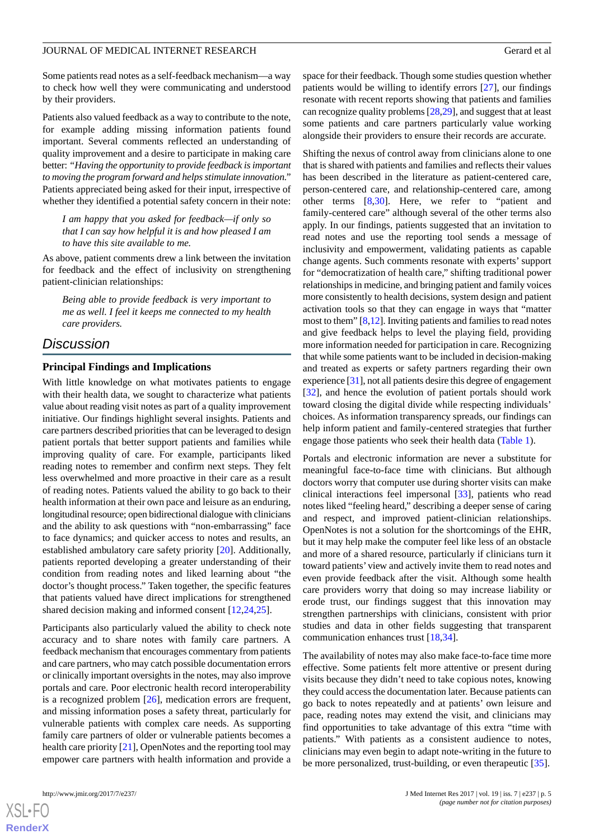#### JOURNAL OF MEDICAL INTERNET RESEARCH GERARD CHARGES AND GERARD GERARD GERARD GERARD GERARD GERARD GERARD GERARD GERARD GERARD GERARD GERARD GERARD GERARD GERARD GERARD GERARD GERARD GERARD GERARD GERARD GERARD GERARD GERAR

Some patients read notes as a self-feedback mechanism—a way to check how well they were communicating and understood by their providers.

Patients also valued feedback as a way to contribute to the note, for example adding missing information patients found important. Several comments reflected an understanding of quality improvement and a desire to participate in making care better: *"Having the opportunity to provide feedback is important to moving the program forward and helps stimulate innovation."* Patients appreciated being asked for their input, irrespective of whether they identified a potential safety concern in their note:

*I am happy that you asked for feedback—if only so that I can say how helpful it is and how pleased I am to have this site available to me.*

As above, patient comments drew a link between the invitation for feedback and the effect of inclusivity on strengthening patient-clinician relationships:

*Being able to provide feedback is very important to me as well. I feel it keeps me connected to my health care providers.*

# *Discussion*

# **Principal Findings and Implications**

With little knowledge on what motivates patients to engage with their health data, we sought to characterize what patients value about reading visit notes as part of a quality improvement initiative. Our findings highlight several insights. Patients and care partners described priorities that can be leveraged to design patient portals that better support patients and families while improving quality of care. For example, participants liked reading notes to remember and confirm next steps. They felt less overwhelmed and more proactive in their care as a result of reading notes. Patients valued the ability to go back to their health information at their own pace and leisure as an enduring, longitudinal resource; open bidirectional dialogue with clinicians and the ability to ask questions with "non-embarrassing" face to face dynamics; and quicker access to notes and results, an established ambulatory care safety priority [\[20](#page-7-6)]. Additionally, patients reported developing a greater understanding of their condition from reading notes and liked learning about "the doctor's thought process." Taken together, the specific features that patients valued have direct implications for strengthened shared decision making and informed consent [[12](#page-6-7)[,24](#page-7-7),[25\]](#page-7-8).

Participants also particularly valued the ability to check note accuracy and to share notes with family care partners. A feedback mechanism that encourages commentary from patients and care partners, who may catch possible documentation errors or clinically important oversights in the notes, may also improve portals and care. Poor electronic health record interoperability is a recognized problem [\[26](#page-7-9)], medication errors are frequent, and missing information poses a safety threat, particularly for vulnerable patients with complex care needs. As supporting family care partners of older or vulnerable patients becomes a health care priority [[21\]](#page-7-10), OpenNotes and the reporting tool may empower care partners with health information and provide a

space for their feedback. Though some studies question whether patients would be willing to identify errors [[27\]](#page-7-11), our findings resonate with recent reports showing that patients and families can recognize quality problems [\[28](#page-7-12)[,29](#page-7-13)], and suggest that at least some patients and care partners particularly value working alongside their providers to ensure their records are accurate.

Shifting the nexus of control away from clinicians alone to one that is shared with patients and families and reflects their values has been described in the literature as patient-centered care, person-centered care, and relationship-centered care, among other terms [\[8](#page-6-4),[30\]](#page-7-14). Here, we refer to "patient and family-centered care" although several of the other terms also apply. In our findings, patients suggested that an invitation to read notes and use the reporting tool sends a message of inclusivity and empowerment, validating patients as capable change agents. Such comments resonate with experts' support for "democratization of health care," shifting traditional power relationships in medicine, and bringing patient and family voices more consistently to health decisions, system design and patient activation tools so that they can engage in ways that "matter most to them" [[8,](#page-6-4)[12\]](#page-6-7). Inviting patients and families to read notes and give feedback helps to level the playing field, providing more information needed for participation in care. Recognizing that while some patients want to be included in decision-making and treated as experts or safety partners regarding their own experience [\[31\]](#page-7-15), not all patients desire this degree of engagement [[32\]](#page-7-16), and hence the evolution of patient portals should work toward closing the digital divide while respecting individuals' choices. As information transparency spreads, our findings can help inform patient and family-centered strategies that further engage those patients who seek their health data ([Table 1](#page-5-0)).

Portals and electronic information are never a substitute for meaningful face-to-face time with clinicians. But although doctors worry that computer use during shorter visits can make clinical interactions feel impersonal [\[33](#page-7-17)], patients who read notes liked "feeling heard," describing a deeper sense of caring and respect, and improved patient-clinician relationships. OpenNotes is not a solution for the shortcomings of the EHR, but it may help make the computer feel like less of an obstacle and more of a shared resource, particularly if clinicians turn it toward patients' view and actively invite them to read notes and even provide feedback after the visit. Although some health care providers worry that doing so may increase liability or erode trust, our findings suggest that this innovation may strengthen partnerships with clinicians, consistent with prior studies and data in other fields suggesting that transparent communication enhances trust [\[18](#page-7-2),[34\]](#page-7-18).

The availability of notes may also make face-to-face time more effective. Some patients felt more attentive or present during visits because they didn't need to take copious notes, knowing they could access the documentation later. Because patients can go back to notes repeatedly and at patients' own leisure and pace, reading notes may extend the visit, and clinicians may find opportunities to take advantage of this extra "time with patients." With patients as a consistent audience to notes, clinicians may even begin to adapt note-writing in the future to be more personalized, trust-building, or even therapeutic [[35\]](#page-7-19).

 $XS$  $\cdot$ FC **[RenderX](http://www.renderx.com/)**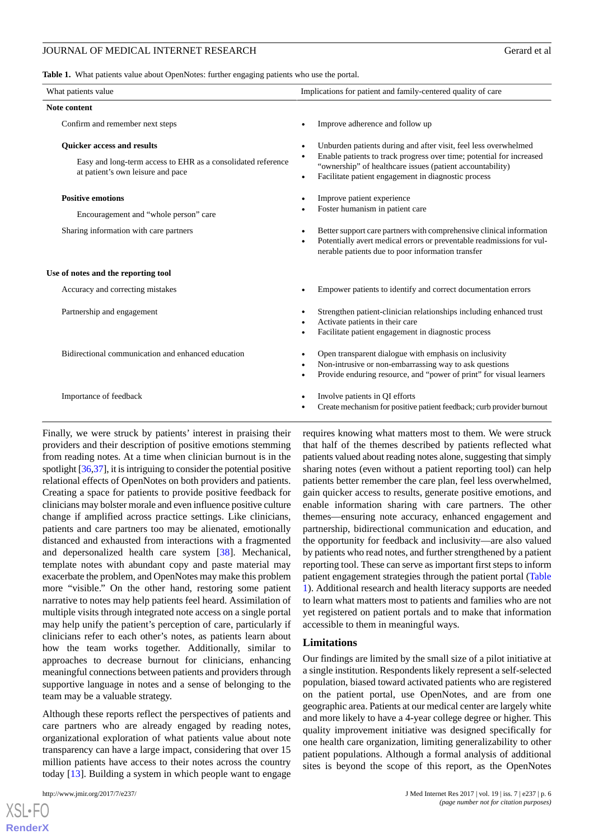#### JOURNAL OF MEDICAL INTERNET RESEARCH GERARD CONSUMING THE GERARD GERARD GERARD GERARD GERARD GERARD GERARD GER

<span id="page-5-0"></span>**Table 1.** What patients value about OpenNotes: further engaging patients who use the portal.

| What patients value                                                                                                                    | Implications for patient and family-centered quality of care                                                                                                                                                                                                             |
|----------------------------------------------------------------------------------------------------------------------------------------|--------------------------------------------------------------------------------------------------------------------------------------------------------------------------------------------------------------------------------------------------------------------------|
| <b>Note content</b>                                                                                                                    |                                                                                                                                                                                                                                                                          |
| Confirm and remember next steps                                                                                                        | Improve adherence and follow up                                                                                                                                                                                                                                          |
| <b>Ouicker access and results</b><br>Easy and long-term access to EHR as a consolidated reference<br>at patient's own leisure and pace | Unburden patients during and after visit, feel less overwhelmed<br>Enable patients to track progress over time; potential for increased<br>$\bullet$<br>"ownership" of healthcare issues (patient accountability)<br>Facilitate patient engagement in diagnostic process |
| <b>Positive emotions</b><br>Encouragement and "whole person" care                                                                      | Improve patient experience<br>Foster humanism in patient care                                                                                                                                                                                                            |
| Sharing information with care partners                                                                                                 | Better support care partners with comprehensive clinical information<br>Potentially avert medical errors or preventable readmissions for vul-<br>nerable patients due to poor information transfer                                                                       |
| Use of notes and the reporting tool                                                                                                    |                                                                                                                                                                                                                                                                          |
| Accuracy and correcting mistakes                                                                                                       | Empower patients to identify and correct documentation errors                                                                                                                                                                                                            |
| Partnership and engagement                                                                                                             | Strengthen patient-clinician relationships including enhanced trust<br>Activate patients in their care<br>Facilitate patient engagement in diagnostic process                                                                                                            |
| Bidirectional communication and enhanced education                                                                                     | Open transparent dialogue with emphasis on inclusivity<br>Non-intrusive or non-embarrassing way to ask questions<br>Provide enduring resource, and "power of print" for visual learners                                                                                  |
| Importance of feedback                                                                                                                 | Involve patients in QI efforts<br>Create mechanism for positive patient feedback; curb provider burnout                                                                                                                                                                  |

Finally, we were struck by patients' interest in praising their providers and their description of positive emotions stemming from reading notes. At a time when clinician burnout is in the spotlight [[36](#page-8-0),[37\]](#page-8-1), it is intriguing to consider the potential positive relational effects of OpenNotes on both providers and patients. Creating a space for patients to provide positive feedback for clinicians may bolster morale and even influence positive culture change if amplified across practice settings. Like clinicians, patients and care partners too may be alienated, emotionally distanced and exhausted from interactions with a fragmented and depersonalized health care system [\[38](#page-8-2)]. Mechanical, template notes with abundant copy and paste material may exacerbate the problem, and OpenNotes may make this problem more "visible." On the other hand, restoring some patient narrative to notes may help patients feel heard. Assimilation of multiple visits through integrated note access on a single portal may help unify the patient's perception of care, particularly if clinicians refer to each other's notes, as patients learn about how the team works together. Additionally, similar to approaches to decrease burnout for clinicians, enhancing meaningful connections between patients and providers through supportive language in notes and a sense of belonging to the team may be a valuable strategy.

Although these reports reflect the perspectives of patients and care partners who are already engaged by reading notes, organizational exploration of what patients value about note transparency can have a large impact, considering that over 15 million patients have access to their notes across the country today [[13\]](#page-6-8). Building a system in which people want to engage

 $XS$  $\cdot$ FC **[RenderX](http://www.renderx.com/)** requires knowing what matters most to them. We were struck that half of the themes described by patients reflected what patients valued about reading notes alone, suggesting that simply sharing notes (even without a patient reporting tool) can help patients better remember the care plan, feel less overwhelmed, gain quicker access to results, generate positive emotions, and enable information sharing with care partners. The other themes—ensuring note accuracy, enhanced engagement and partnership, bidirectional communication and education, and the opportunity for feedback and inclusivity—are also valued by patients who read notes, and further strengthened by a patient reporting tool. These can serve as important first steps to inform patient engagement strategies through the patient portal ([Table](#page-5-0) [1\)](#page-5-0). Additional research and health literacy supports are needed to learn what matters most to patients and families who are not yet registered on patient portals and to make that information accessible to them in meaningful ways.

#### **Limitations**

Our findings are limited by the small size of a pilot initiative at a single institution. Respondents likely represent a self-selected population, biased toward activated patients who are registered on the patient portal, use OpenNotes, and are from one geographic area. Patients at our medical center are largely white and more likely to have a 4-year college degree or higher. This quality improvement initiative was designed specifically for one health care organization, limiting generalizability to other patient populations. Although a formal analysis of additional sites is beyond the scope of this report, as the OpenNotes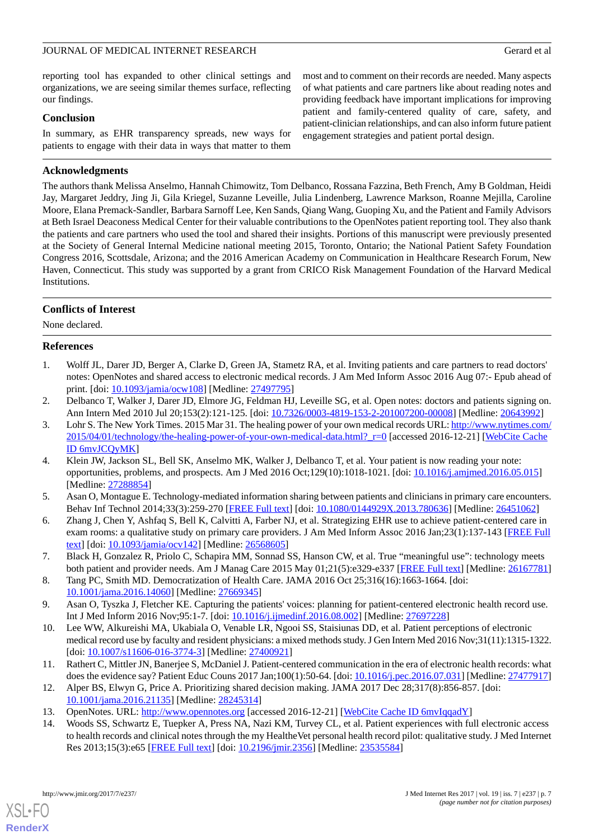### JOURNAL OF MEDICAL INTERNET RESEARCH Gerard et al

reporting tool has expanded to other clinical settings and organizations, we are seeing similar themes surface, reflecting our findings.

#### **Conclusion**

In summary, as EHR transparency spreads, new ways for patients to engage with their data in ways that matter to them

### **Acknowledgments**

most and to comment on their records are needed. Many aspects of what patients and care partners like about reading notes and providing feedback have important implications for improving patient and family-centered quality of care, safety, and patient-clinician relationships, and can also inform future patient engagement strategies and patient portal design.

The authors thank Melissa Anselmo, Hannah Chimowitz, Tom Delbanco, Rossana Fazzina, Beth French, Amy B Goldman, Heidi Jay, Margaret Jeddry, Jing Ji, Gila Kriegel, Suzanne Leveille, Julia Lindenberg, Lawrence Markson, Roanne Mejilla, Caroline Moore, Elana Premack-Sandler, Barbara Sarnoff Lee, Ken Sands, Qiang Wang, Guoping Xu, and the Patient and Family Advisors at Beth Israel Deaconess Medical Center for their valuable contributions to the OpenNotes patient reporting tool. They also thank the patients and care partners who used the tool and shared their insights. Portions of this manuscript were previously presented at the Society of General Internal Medicine national meeting 2015, Toronto, Ontario; the National Patient Safety Foundation Congress 2016, Scottsdale, Arizona; and the 2016 American Academy on Communication in Healthcare Research Forum, New Haven, Connecticut. This study was supported by a grant from CRICO Risk Management Foundation of the Harvard Medical Institutions.

# **Conflicts of Interest**

<span id="page-6-0"></span>None declared.

# **References**

- <span id="page-6-2"></span><span id="page-6-1"></span>1. Wolff JL, Darer JD, Berger A, Clarke D, Green JA, Stametz RA, et al. Inviting patients and care partners to read doctors' notes: OpenNotes and shared access to electronic medical records. J Am Med Inform Assoc 2016 Aug 07:- Epub ahead of print. [doi: [10.1093/jamia/ocw108\]](http://dx.doi.org/10.1093/jamia/ocw108) [Medline: [27497795\]](http://www.ncbi.nlm.nih.gov/entrez/query.fcgi?cmd=Retrieve&db=PubMed&list_uids=27497795&dopt=Abstract)
- 2. Delbanco T, Walker J, Darer JD, Elmore JG, Feldman HJ, Leveille SG, et al. Open notes: doctors and patients signing on. Ann Intern Med 2010 Jul 20;153(2):121-125. [doi: [10.7326/0003-4819-153-2-201007200-00008\]](http://dx.doi.org/10.7326/0003-4819-153-2-201007200-00008) [Medline: [20643992\]](http://www.ncbi.nlm.nih.gov/entrez/query.fcgi?cmd=Retrieve&db=PubMed&list_uids=20643992&dopt=Abstract)
- <span id="page-6-3"></span>3. Lohr S. The New York Times. 2015 Mar 31. The healing power of your own medical records URL: [http://www.nytimes.com/](http://www.nytimes.com/2015/04/01/technology/the-healing-power-of-your-own-medical-data.html?_r=0) 2015/04/01/technology/the-healing-power-of-your-own-medical-data.html? r=0 [accessed 2016-12-21] [[WebCite Cache](http://www.webcitation.org/

                                6mvJCQyMK) [ID 6mvJCQyMK](http://www.webcitation.org/

                                6mvJCQyMK)]
- 4. Klein JW, Jackson SL, Bell SK, Anselmo MK, Walker J, Delbanco T, et al. Your patient is now reading your note: opportunities, problems, and prospects. Am J Med 2016 Oct;129(10):1018-1021. [doi: [10.1016/j.amjmed.2016.05.015](http://dx.doi.org/10.1016/j.amjmed.2016.05.015)] [Medline: [27288854](http://www.ncbi.nlm.nih.gov/entrez/query.fcgi?cmd=Retrieve&db=PubMed&list_uids=27288854&dopt=Abstract)]
- 5. Asan O, Montague E. Technology-mediated information sharing between patients and clinicians in primary care encounters. Behav Inf Technol 2014;33(3):259-270 [[FREE Full text\]](http://europepmc.org/abstract/MED/26451062) [doi: [10.1080/0144929X.2013.780636\]](http://dx.doi.org/10.1080/0144929X.2013.780636) [Medline: [26451062](http://www.ncbi.nlm.nih.gov/entrez/query.fcgi?cmd=Retrieve&db=PubMed&list_uids=26451062&dopt=Abstract)]
- <span id="page-6-4"></span>6. Zhang J, Chen Y, Ashfaq S, Bell K, Calvitti A, Farber NJ, et al. Strategizing EHR use to achieve patient-centered care in exam rooms: a qualitative study on primary care providers. J Am Med Inform Assoc 2016 Jan;23(1):137-143 [[FREE Full](http://europepmc.org/abstract/MED/26568605) [text](http://europepmc.org/abstract/MED/26568605)] [doi: [10.1093/jamia/ocv142](http://dx.doi.org/10.1093/jamia/ocv142)] [Medline: [26568605](http://www.ncbi.nlm.nih.gov/entrez/query.fcgi?cmd=Retrieve&db=PubMed&list_uids=26568605&dopt=Abstract)]
- <span id="page-6-5"></span>7. Black H, Gonzalez R, Priolo C, Schapira MM, Sonnad SS, Hanson CW, et al. True "meaningful use": technology meets both patient and provider needs. Am J Manag Care 2015 May 01;21(5):e329-e337 [\[FREE Full text\]](http://www.ajmc.com/pubMed.php?pii=86163) [Medline: [26167781](http://www.ncbi.nlm.nih.gov/entrez/query.fcgi?cmd=Retrieve&db=PubMed&list_uids=26167781&dopt=Abstract)]
- 8. Tang PC, Smith MD. Democratization of Health Care. JAMA 2016 Oct 25;316(16):1663-1664. [doi: [10.1001/jama.2016.14060](http://dx.doi.org/10.1001/jama.2016.14060)] [Medline: [27669345](http://www.ncbi.nlm.nih.gov/entrez/query.fcgi?cmd=Retrieve&db=PubMed&list_uids=27669345&dopt=Abstract)]
- <span id="page-6-6"></span>9. Asan O, Tyszka J, Fletcher KE. Capturing the patients' voices: planning for patient-centered electronic health record use. Int J Med Inform 2016 Nov;95:1-7. [doi: [10.1016/j.ijmedinf.2016.08.002](http://dx.doi.org/10.1016/j.ijmedinf.2016.08.002)] [Medline: [27697228](http://www.ncbi.nlm.nih.gov/entrez/query.fcgi?cmd=Retrieve&db=PubMed&list_uids=27697228&dopt=Abstract)]
- <span id="page-6-8"></span><span id="page-6-7"></span>10. Lee WW, Alkureishi MA, Ukabiala O, Venable LR, Ngooi SS, Staisiunas DD, et al. Patient perceptions of electronic medical record use by faculty and resident physicians: a mixed methods study. J Gen Intern Med 2016 Nov;31(11):1315-1322. [doi: [10.1007/s11606-016-3774-3](http://dx.doi.org/10.1007/s11606-016-3774-3)] [Medline: [27400921\]](http://www.ncbi.nlm.nih.gov/entrez/query.fcgi?cmd=Retrieve&db=PubMed&list_uids=27400921&dopt=Abstract)
- <span id="page-6-9"></span>11. Rathert C, Mittler JN, Banerjee S, McDaniel J. Patient-centered communication in the era of electronic health records: what does the evidence say? Patient Educ Couns 2017 Jan;100(1):50-64. [doi: [10.1016/j.pec.2016.07.031](http://dx.doi.org/10.1016/j.pec.2016.07.031)] [Medline: [27477917](http://www.ncbi.nlm.nih.gov/entrez/query.fcgi?cmd=Retrieve&db=PubMed&list_uids=27477917&dopt=Abstract)]
- 12. Alper BS, Elwyn G, Price A. Prioritizing shared decision making. JAMA 2017 Dec 28;317(8):856-857. [doi: [10.1001/jama.2016.21135](http://dx.doi.org/10.1001/jama.2016.21135)] [Medline: [28245314](http://www.ncbi.nlm.nih.gov/entrez/query.fcgi?cmd=Retrieve&db=PubMed&list_uids=28245314&dopt=Abstract)]
- 13. OpenNotes. URL: <http://www.opennotes.org> [accessed 2016-12-21] [\[WebCite Cache ID 6mvIqqadY](http://www.webcitation.org/

                 6mvIqqadY)]
- 14. Woods SS, Schwartz E, Tuepker A, Press NA, Nazi KM, Turvey CL, et al. Patient experiences with full electronic access to health records and clinical notes through the my HealtheVet personal health record pilot: qualitative study. J Med Internet Res 2013;15(3):e65 [[FREE Full text\]](http://www.jmir.org/2013/3/e65) [doi: [10.2196/jmir.2356](http://dx.doi.org/10.2196/jmir.2356)] [Medline: [23535584\]](http://www.ncbi.nlm.nih.gov/entrez/query.fcgi?cmd=Retrieve&db=PubMed&list_uids=23535584&dopt=Abstract)

[XSL](http://www.w3.org/Style/XSL)•FO **[RenderX](http://www.renderx.com/)**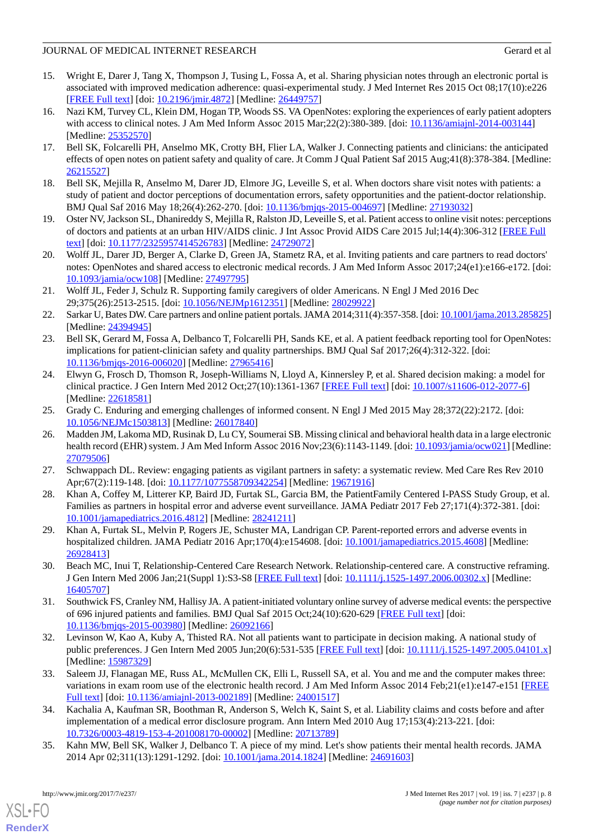# JOURNAL OF MEDICAL INTERNET RESEARCH Gerard et al

- 15. Wright E, Darer J, Tang X, Thompson J, Tusing L, Fossa A, et al. Sharing physician notes through an electronic portal is associated with improved medication adherence: quasi-experimental study. J Med Internet Res 2015 Oct 08;17(10):e226 [[FREE Full text](http://www.jmir.org/2015/10/e226/)] [doi: [10.2196/jmir.4872](http://dx.doi.org/10.2196/jmir.4872)] [Medline: [26449757](http://www.ncbi.nlm.nih.gov/entrez/query.fcgi?cmd=Retrieve&db=PubMed&list_uids=26449757&dopt=Abstract)]
- <span id="page-7-0"></span>16. Nazi KM, Turvey CL, Klein DM, Hogan TP, Woods SS. VA OpenNotes: exploring the experiences of early patient adopters with access to clinical notes. J Am Med Inform Assoc 2015 Mar; 22(2): 380-389. [doi: [10.1136/amiajnl-2014-003144](http://dx.doi.org/10.1136/amiajnl-2014-003144)] [Medline: [25352570](http://www.ncbi.nlm.nih.gov/entrez/query.fcgi?cmd=Retrieve&db=PubMed&list_uids=25352570&dopt=Abstract)]
- <span id="page-7-2"></span><span id="page-7-1"></span>17. Bell SK, Folcarelli PH, Anselmo MK, Crotty BH, Flier LA, Walker J. Connecting patients and clinicians: the anticipated effects of open notes on patient safety and quality of care. Jt Comm J Qual Patient Saf 2015 Aug;41(8):378-384. [Medline: [26215527](http://www.ncbi.nlm.nih.gov/entrez/query.fcgi?cmd=Retrieve&db=PubMed&list_uids=26215527&dopt=Abstract)]
- <span id="page-7-3"></span>18. Bell SK, Mejilla R, Anselmo M, Darer JD, Elmore JG, Leveille S, et al. When doctors share visit notes with patients: a study of patient and doctor perceptions of documentation errors, safety opportunities and the patient-doctor relationship. BMJ Qual Saf 2016 May 18;26(4):262-270. [doi: [10.1136/bmjqs-2015-004697\]](http://dx.doi.org/10.1136/bmjqs-2015-004697) [Medline: [27193032\]](http://www.ncbi.nlm.nih.gov/entrez/query.fcgi?cmd=Retrieve&db=PubMed&list_uids=27193032&dopt=Abstract)
- <span id="page-7-6"></span>19. Oster NV, Jackson SL, Dhanireddy S, Mejilla R, Ralston JD, Leveille S, et al. Patient access to online visit notes: perceptions of doctors and patients at an urban HIV/AIDS clinic. J Int Assoc Provid AIDS Care 2015 Jul;14(4):306-312 [\[FREE Full](http://europepmc.org/abstract/MED/24729072) [text](http://europepmc.org/abstract/MED/24729072)] [doi: [10.1177/2325957414526783\]](http://dx.doi.org/10.1177/2325957414526783) [Medline: [24729072\]](http://www.ncbi.nlm.nih.gov/entrez/query.fcgi?cmd=Retrieve&db=PubMed&list_uids=24729072&dopt=Abstract)
- <span id="page-7-10"></span>20. Wolff JL, Darer JD, Berger A, Clarke D, Green JA, Stametz RA, et al. Inviting patients and care partners to read doctors' notes: OpenNotes and shared access to electronic medical records. J Am Med Inform Assoc 2017;24(e1):e166-e172. [doi: [10.1093/jamia/ocw108](http://dx.doi.org/10.1093/jamia/ocw108)] [Medline: [27497795](http://www.ncbi.nlm.nih.gov/entrez/query.fcgi?cmd=Retrieve&db=PubMed&list_uids=27497795&dopt=Abstract)]
- <span id="page-7-4"></span>21. Wolff JL, Feder J, Schulz R. Supporting family caregivers of older Americans. N Engl J Med 2016 Dec 29;375(26):2513-2515. [doi: [10.1056/NEJMp1612351\]](http://dx.doi.org/10.1056/NEJMp1612351) [Medline: [28029922\]](http://www.ncbi.nlm.nih.gov/entrez/query.fcgi?cmd=Retrieve&db=PubMed&list_uids=28029922&dopt=Abstract)
- <span id="page-7-5"></span>22. Sarkar U, Bates DW. Care partners and online patient portals. JAMA 2014;311(4):357-358. [doi: [10.1001/jama.2013.285825\]](http://dx.doi.org/10.1001/jama.2013.285825) [Medline: [24394945](http://www.ncbi.nlm.nih.gov/entrez/query.fcgi?cmd=Retrieve&db=PubMed&list_uids=24394945&dopt=Abstract)]
- <span id="page-7-7"></span>23. Bell SK, Gerard M, Fossa A, Delbanco T, Folcarelli PH, Sands KE, et al. A patient feedback reporting tool for OpenNotes: implications for patient-clinician safety and quality partnerships. BMJ Qual Saf 2017;26(4):312-322. [doi: [10.1136/bmjqs-2016-006020\]](http://dx.doi.org/10.1136/bmjqs-2016-006020) [Medline: [27965416\]](http://www.ncbi.nlm.nih.gov/entrez/query.fcgi?cmd=Retrieve&db=PubMed&list_uids=27965416&dopt=Abstract)
- <span id="page-7-9"></span><span id="page-7-8"></span>24. Elwyn G, Frosch D, Thomson R, Joseph-Williams N, Lloyd A, Kinnersley P, et al. Shared decision making: a model for clinical practice. J Gen Intern Med 2012 Oct;27(10):1361-1367 [\[FREE Full text\]](http://europepmc.org/abstract/MED/22618581) [doi: [10.1007/s11606-012-2077-6\]](http://dx.doi.org/10.1007/s11606-012-2077-6) [Medline: [22618581](http://www.ncbi.nlm.nih.gov/entrez/query.fcgi?cmd=Retrieve&db=PubMed&list_uids=22618581&dopt=Abstract)]
- 25. Grady C. Enduring and emerging challenges of informed consent. N Engl J Med 2015 May 28;372(22):2172. [doi: [10.1056/NEJMc1503813](http://dx.doi.org/10.1056/NEJMc1503813)] [Medline: [26017840](http://www.ncbi.nlm.nih.gov/entrez/query.fcgi?cmd=Retrieve&db=PubMed&list_uids=26017840&dopt=Abstract)]
- <span id="page-7-12"></span><span id="page-7-11"></span>26. Madden JM, Lakoma MD, Rusinak D, Lu CY, Soumerai SB. Missing clinical and behavioral health data in a large electronic health record (EHR) system. J Am Med Inform Assoc 2016 Nov; 23(6):1143-1149. [doi: [10.1093/jamia/ocw021\]](http://dx.doi.org/10.1093/jamia/ocw021) [Medline: [27079506](http://www.ncbi.nlm.nih.gov/entrez/query.fcgi?cmd=Retrieve&db=PubMed&list_uids=27079506&dopt=Abstract)]
- <span id="page-7-13"></span>27. Schwappach DL. Review: engaging patients as vigilant partners in safety: a systematic review. Med Care Res Rev 2010 Apr;67(2):119-148. [doi: [10.1177/1077558709342254](http://dx.doi.org/10.1177/1077558709342254)] [Medline: [19671916](http://www.ncbi.nlm.nih.gov/entrez/query.fcgi?cmd=Retrieve&db=PubMed&list_uids=19671916&dopt=Abstract)]
- <span id="page-7-14"></span>28. Khan A, Coffey M, Litterer KP, Baird JD, Furtak SL, Garcia BM, the PatientFamily Centered I-PASS Study Group, et al. Families as partners in hospital error and adverse event surveillance. JAMA Pediatr 2017 Feb 27;171(4):372-381. [doi: [10.1001/jamapediatrics.2016.4812](http://dx.doi.org/10.1001/jamapediatrics.2016.4812)] [Medline: [28241211\]](http://www.ncbi.nlm.nih.gov/entrez/query.fcgi?cmd=Retrieve&db=PubMed&list_uids=28241211&dopt=Abstract)
- <span id="page-7-15"></span>29. Khan A, Furtak SL, Melvin P, Rogers JE, Schuster MA, Landrigan CP. Parent-reported errors and adverse events in hospitalized children. JAMA Pediatr 2016 Apr;170(4):e154608. [doi: [10.1001/jamapediatrics.2015.4608\]](http://dx.doi.org/10.1001/jamapediatrics.2015.4608) [Medline: [26928413](http://www.ncbi.nlm.nih.gov/entrez/query.fcgi?cmd=Retrieve&db=PubMed&list_uids=26928413&dopt=Abstract)]
- <span id="page-7-16"></span>30. Beach MC, Inui T, Relationship-Centered Care Research Network. Relationship-centered care. A constructive reframing. J Gen Intern Med 2006 Jan;21(Suppl 1):S3-S8 [\[FREE Full text\]](http://onlinelibrary.wiley.com/resolve/openurl?genre=article&sid=nlm:pubmed&issn=0884-8734&date=2006&volume=21&issue=&spage=S3) [doi: [10.1111/j.1525-1497.2006.00302.x\]](http://dx.doi.org/10.1111/j.1525-1497.2006.00302.x) [Medline: [16405707](http://www.ncbi.nlm.nih.gov/entrez/query.fcgi?cmd=Retrieve&db=PubMed&list_uids=16405707&dopt=Abstract)]
- <span id="page-7-17"></span>31. Southwick FS, Cranley NM, Hallisy JA. A patient-initiated voluntary online survey of adverse medical events: the perspective of 696 injured patients and families. BMJ Qual Saf 2015 Oct;24(10):620-629 [\[FREE Full text\]](http://qualitysafety.bmj.com/cgi/pmidlookup?view=long&pmid=26092166) [doi: [10.1136/bmjqs-2015-003980\]](http://dx.doi.org/10.1136/bmjqs-2015-003980) [Medline: [26092166\]](http://www.ncbi.nlm.nih.gov/entrez/query.fcgi?cmd=Retrieve&db=PubMed&list_uids=26092166&dopt=Abstract)
- <span id="page-7-18"></span>32. Levinson W, Kao A, Kuby A, Thisted RA. Not all patients want to participate in decision making. A national study of public preferences. J Gen Intern Med 2005 Jun;20(6):531-535 [\[FREE Full text\]](http://onlinelibrary.wiley.com/resolve/openurl?genre=article&sid=nlm:pubmed&issn=0884-8734&date=2005&volume=20&issue=6&spage=531) [doi: [10.1111/j.1525-1497.2005.04101.x](http://dx.doi.org/10.1111/j.1525-1497.2005.04101.x)] [Medline: [15987329](http://www.ncbi.nlm.nih.gov/entrez/query.fcgi?cmd=Retrieve&db=PubMed&list_uids=15987329&dopt=Abstract)]
- <span id="page-7-19"></span>33. Saleem JJ, Flanagan ME, Russ AL, McMullen CK, Elli L, Russell SA, et al. You and me and the computer makes three: variations in exam room use of the electronic health record. J Am Med Inform Assoc 2014 Feb;21(e1):e147-e151 [\[FREE](http://europepmc.org/abstract/MED/24001517) [Full text\]](http://europepmc.org/abstract/MED/24001517) [doi: [10.1136/amiajnl-2013-002189](http://dx.doi.org/10.1136/amiajnl-2013-002189)] [Medline: [24001517\]](http://www.ncbi.nlm.nih.gov/entrez/query.fcgi?cmd=Retrieve&db=PubMed&list_uids=24001517&dopt=Abstract)
- 34. Kachalia A, Kaufman SR, Boothman R, Anderson S, Welch K, Saint S, et al. Liability claims and costs before and after implementation of a medical error disclosure program. Ann Intern Med 2010 Aug 17;153(4):213-221. [doi: [10.7326/0003-4819-153-4-201008170-00002](http://dx.doi.org/10.7326/0003-4819-153-4-201008170-00002)] [Medline: [20713789](http://www.ncbi.nlm.nih.gov/entrez/query.fcgi?cmd=Retrieve&db=PubMed&list_uids=20713789&dopt=Abstract)]
- 35. Kahn MW, Bell SK, Walker J, Delbanco T. A piece of my mind. Let's show patients their mental health records. JAMA 2014 Apr 02;311(13):1291-1292. [doi: [10.1001/jama.2014.1824\]](http://dx.doi.org/10.1001/jama.2014.1824) [Medline: [24691603\]](http://www.ncbi.nlm.nih.gov/entrez/query.fcgi?cmd=Retrieve&db=PubMed&list_uids=24691603&dopt=Abstract)

[XSL](http://www.w3.org/Style/XSL)•FO **[RenderX](http://www.renderx.com/)**